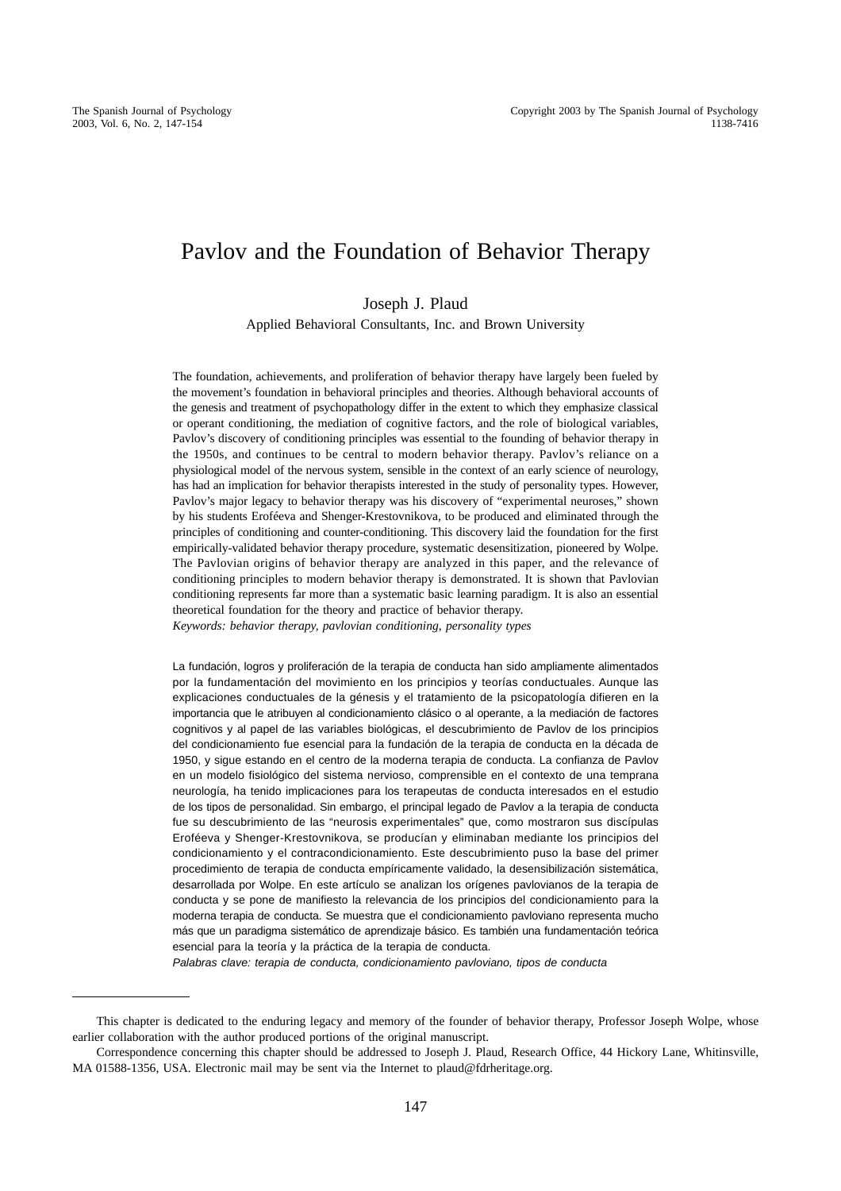# Pavlov and the Foundation of Behavior Therapy

# Joseph J. Plaud

Applied Behavioral Consultants, Inc. and Brown University

The foundation, achievements, and proliferation of behavior therapy have largely been fueled by the movement's foundation in behavioral principles and theories. Although behavioral accounts of the genesis and treatment of psychopathology differ in the extent to which they emphasize classical or operant conditioning, the mediation of cognitive factors, and the role of biological variables, Pavlov's discovery of conditioning principles was essential to the founding of behavior therapy in the 1950s, and continues to be central to modern behavior therapy. Pavlov's reliance on a physiological model of the nervous system, sensible in the context of an early science of neurology, has had an implication for behavior therapists interested in the study of personality types. However, Pavlov's major legacy to behavior therapy was his discovery of "experimental neuroses," shown by his students Eroféeva and Shenger-Krestovnikova, to be produced and eliminated through the principles of conditioning and counter-conditioning. This discovery laid the foundation for the first empirically-validated behavior therapy procedure, systematic desensitization, pioneered by Wolpe. The Pavlovian origins of behavior therapy are analyzed in this paper, and the relevance of conditioning principles to modern behavior therapy is demonstrated. It is shown that Pavlovian conditioning represents far more than a systematic basic learning paradigm. It is also an essential theoretical foundation for the theory and practice of behavior therapy.

*Keywords: behavior therapy, pavlovian conditioning, personality types*

La fundación, logros y proliferación de la terapia de conducta han sido ampliamente alimentados por la fundamentación del movimiento en los principios y teorías conductuales. Aunque las explicaciones conductuales de la génesis y el tratamiento de la psicopatología difieren en la importancia que le atribuyen al condicionamiento clásico o al operante, a la mediación de factores cognitivos y al papel de las variables biológicas, el descubrimiento de Pavlov de los principios del condicionamiento fue esencial para la fundación de la terapia de conducta en la década de 1950, y sigue estando en el centro de la moderna terapia de conducta. La confianza de Pavlov en un modelo fisiológico del sistema nervioso, comprensible en el contexto de una temprana neurología, ha tenido implicaciones para los terapeutas de conducta interesados en el estudio de los tipos de personalidad. Sin embargo, el principal legado de Pavlov a la terapia de conducta fue su descubrimiento de las "neurosis experimentales" que, como mostraron sus discípulas Eroféeva y Shenger-Krestovnikova, se producían y eliminaban mediante los principios del condicionamiento y el contracondicionamiento. Este descubrimiento puso la base del primer procedimiento de terapia de conducta empíricamente validado, la desensibilización sistemática, desarrollada por Wolpe. En este artículo se analizan los orígenes pavlovianos de la terapia de conducta y se pone de manifiesto la relevancia de los principios del condicionamiento para la moderna terapia de conducta. Se muestra que el condicionamiento pavloviano representa mucho más que un paradigma sistemático de aprendizaje básico. Es también una fundamentación teórica esencial para la teoría y la práctica de la terapia de conducta.

Palabras clave: terapia de conducta, condicionamiento pavloviano, tipos de conducta

This chapter is dedicated to the enduring legacy and memory of the founder of behavior therapy, Professor Joseph Wolpe, whose earlier collaboration with the author produced portions of the original manuscript.

Correspondence concerning this chapter should be addressed to Joseph J. Plaud, Research Office, 44 Hickory Lane, Whitinsville, MA 01588-1356, USA. Electronic mail may be sent via the Internet to plaud@fdrheritage.org.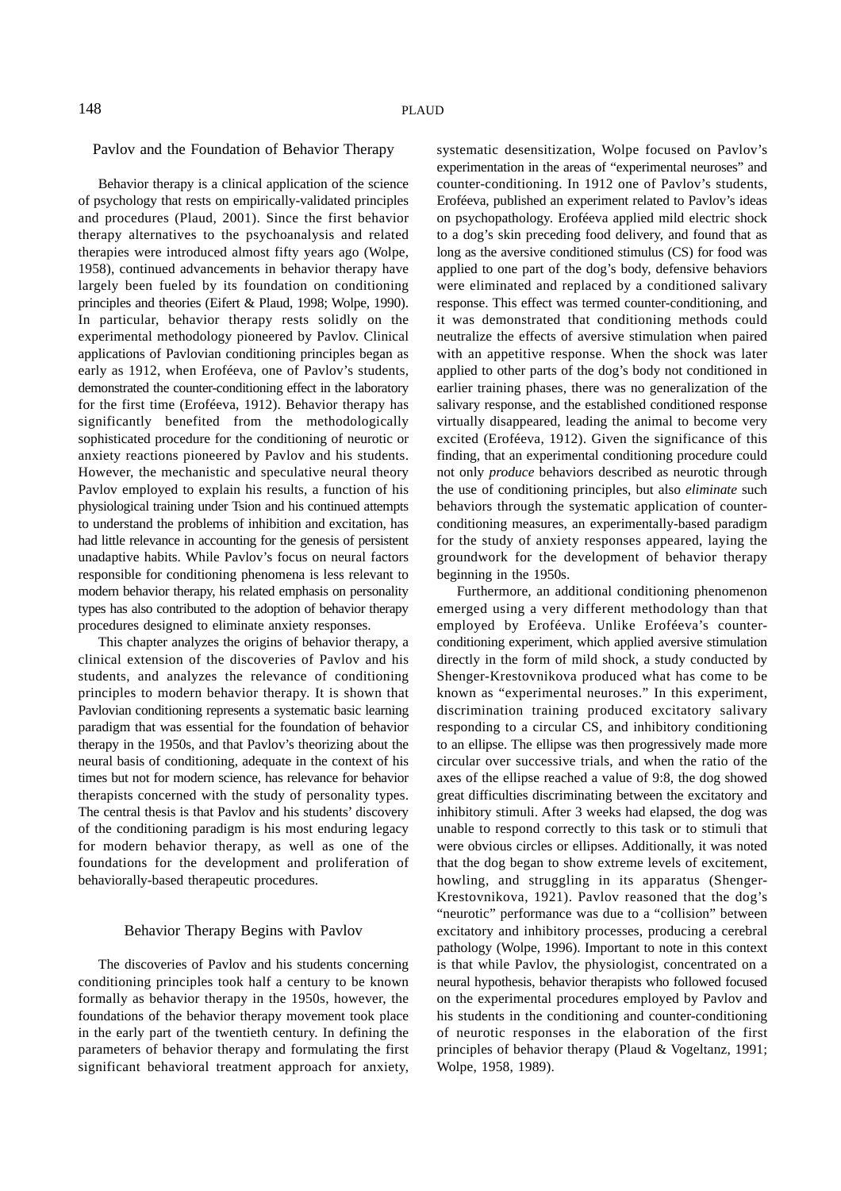### Pavlov and the Foundation of Behavior Therapy

Behavior therapy is a clinical application of the science of psychology that rests on empirically-validated principles and procedures (Plaud, 2001). Since the first behavior therapy alternatives to the psychoanalysis and related therapies were introduced almost fifty years ago (Wolpe, 1958), continued advancements in behavior therapy have largely been fueled by its foundation on conditioning principles and theories (Eifert & Plaud, 1998; Wolpe, 1990). In particular, behavior therapy rests solidly on the experimental methodology pioneered by Pavlov. Clinical applications of Pavlovian conditioning principles began as early as 1912, when Eroféeva, one of Pavlov's students, demonstrated the counter-conditioning effect in the laboratory for the first time (Eroféeva, 1912). Behavior therapy has significantly benefited from the methodologically sophisticated procedure for the conditioning of neurotic or anxiety reactions pioneered by Pavlov and his students. However, the mechanistic and speculative neural theory Pavlov employed to explain his results, a function of his physiological training under Tsion and his continued attempts to understand the problems of inhibition and excitation, has had little relevance in accounting for the genesis of persistent unadaptive habits. While Pavlov's focus on neural factors responsible for conditioning phenomena is less relevant to modern behavior therapy, his related emphasis on personality types has also contributed to the adoption of behavior therapy procedures designed to eliminate anxiety responses.

This chapter analyzes the origins of behavior therapy, a clinical extension of the discoveries of Pavlov and his students, and analyzes the relevance of conditioning principles to modern behavior therapy. It is shown that Pavlovian conditioning represents a systematic basic learning paradigm that was essential for the foundation of behavior therapy in the 1950s, and that Pavlov's theorizing about the neural basis of conditioning, adequate in the context of his times but not for modern science, has relevance for behavior therapists concerned with the study of personality types. The central thesis is that Pavlov and his students' discovery of the conditioning paradigm is his most enduring legacy for modern behavior therapy, as well as one of the foundations for the development and proliferation of behaviorally-based therapeutic procedures.

#### Behavior Therapy Begins with Pavlov

The discoveries of Pavlov and his students concerning conditioning principles took half a century to be known formally as behavior therapy in the 1950s, however, the foundations of the behavior therapy movement took place in the early part of the twentieth century. In defining the parameters of behavior therapy and formulating the first significant behavioral treatment approach for anxiety,

systematic desensitization, Wolpe focused on Pavlov's experimentation in the areas of "experimental neuroses" and counter-conditioning. In 1912 one of Pavlov's students, Eroféeva, published an experiment related to Pavlov's ideas on psychopathology. Eroféeva applied mild electric shock to a dog's skin preceding food delivery, and found that as long as the aversive conditioned stimulus (CS) for food was applied to one part of the dog's body, defensive behaviors were eliminated and replaced by a conditioned salivary response. This effect was termed counter-conditioning, and it was demonstrated that conditioning methods could neutralize the effects of aversive stimulation when paired with an appetitive response. When the shock was later applied to other parts of the dog's body not conditioned in earlier training phases, there was no generalization of the salivary response, and the established conditioned response virtually disappeared, leading the animal to become very excited (Eroféeva, 1912). Given the significance of this finding, that an experimental conditioning procedure could not only *produce* behaviors described as neurotic through the use of conditioning principles, but also *eliminate* such behaviors through the systematic application of counterconditioning measures, an experimentally-based paradigm for the study of anxiety responses appeared, laying the groundwork for the development of behavior therapy beginning in the 1950s.

Furthermore, an additional conditioning phenomenon emerged using a very different methodology than that employed by Eroféeva. Unlike Eroféeva's counterconditioning experiment, which applied aversive stimulation directly in the form of mild shock, a study conducted by Shenger-Krestovnikova produced what has come to be known as "experimental neuroses." In this experiment, discrimination training produced excitatory salivary responding to a circular CS, and inhibitory conditioning to an ellipse. The ellipse was then progressively made more circular over successive trials, and when the ratio of the axes of the ellipse reached a value of 9:8, the dog showed great difficulties discriminating between the excitatory and inhibitory stimuli. After 3 weeks had elapsed, the dog was unable to respond correctly to this task or to stimuli that were obvious circles or ellipses. Additionally, it was noted that the dog began to show extreme levels of excitement, howling, and struggling in its apparatus (Shenger-Krestovnikova, 1921). Pavlov reasoned that the dog's "neurotic" performance was due to a "collision" between excitatory and inhibitory processes, producing a cerebral pathology (Wolpe, 1996). Important to note in this context is that while Pavlov, the physiologist, concentrated on a neural hypothesis, behavior therapists who followed focused on the experimental procedures employed by Pavlov and his students in the conditioning and counter-conditioning of neurotic responses in the elaboration of the first principles of behavior therapy (Plaud & Vogeltanz, 1991; Wolpe, 1958, 1989).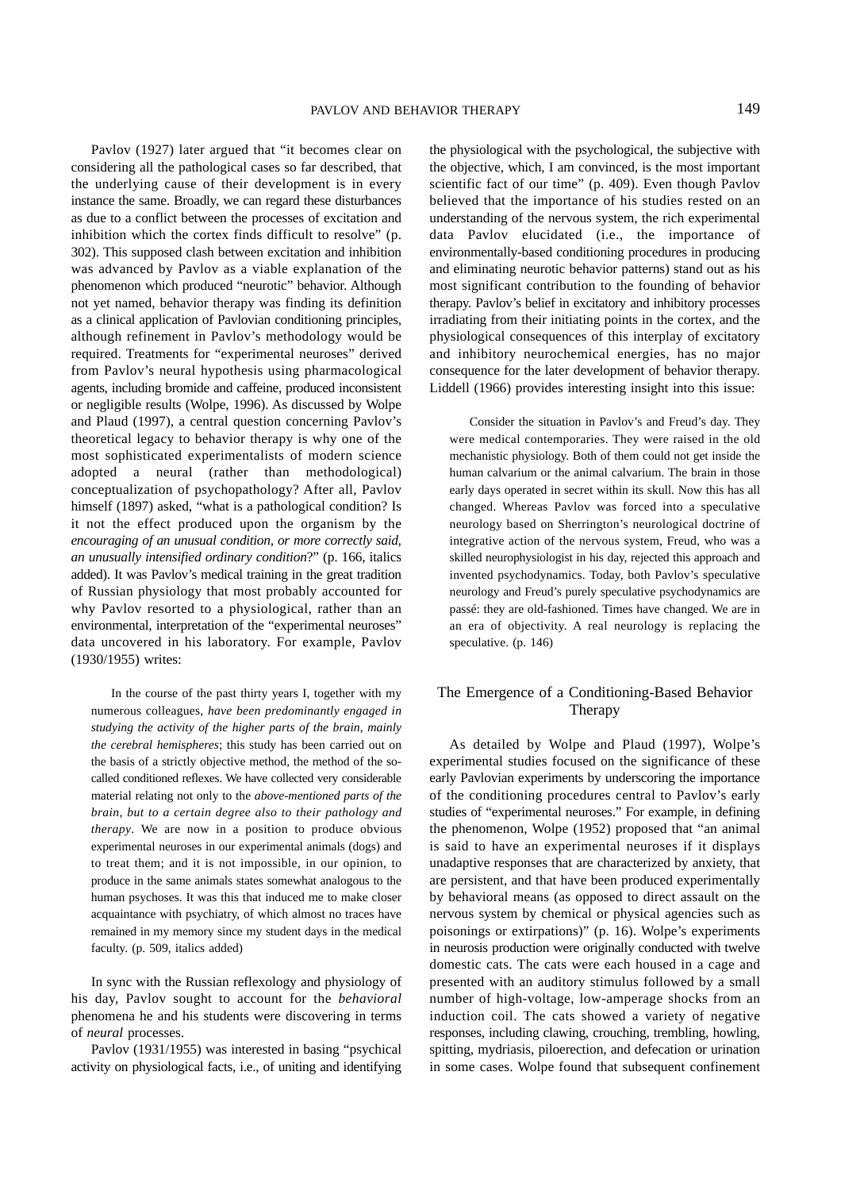Pavlov (1927) later argued that "it becomes clear on considering all the pathological cases so far described, that the underlying cause of their development is in every instance the same. Broadly, we can regard these disturbances as due to a conflict between the processes of excitation and inhibition which the cortex finds difficult to resolve" (p. 302). This supposed clash between excitation and inhibition was advanced by Pavlov as a viable explanation of the phenomenon which produced "neurotic" behavior. Although not yet named, behavior therapy was finding its definition as a clinical application of Pavlovian conditioning principles, although refinement in Pavlov's methodology would be required. Treatments for "experimental neuroses" derived from Pavlov's neural hypothesis using pharmacological agents, including bromide and caffeine, produced inconsistent or negligible results (Wolpe, 1996). As discussed by Wolpe and Plaud (1997), a central question concerning Pavlov's theoretical legacy to behavior therapy is why one of the most sophisticated experimentalists of modern science adopted a neural (rather than methodological) conceptualization of psychopathology? After all, Pavlov himself (1897) asked, "what is a pathological condition? Is it not the effect produced upon the organism by the *encouraging of an unusual condition, or more correctly said, an unusually intensified ordinary condition*?" (p. 166, italics added). It was Pavlov's medical training in the great tradition of Russian physiology that most probably accounted for why Pavlov resorted to a physiological, rather than an environmental, interpretation of the "experimental neuroses" data uncovered in his laboratory. For example, Pavlov (1930/1955) writes:

In the course of the past thirty years I, together with my numerous colleagues, *have been predominantly engaged in studying the activity of the higher parts of the brain, mainly the cerebral hemispheres*; this study has been carried out on the basis of a strictly objective method, the method of the socalled conditioned reflexes. We have collected very considerable material relating not only to the *above-mentioned parts of the brain, but to a certain degree also to their pathology and therapy*. We are now in a position to produce obvious experimental neuroses in our experimental animals (dogs) and to treat them; and it is not impossible, in our opinion, to produce in the same animals states somewhat analogous to the human psychoses. It was this that induced me to make closer acquaintance with psychiatry, of which almost no traces have remained in my memory since my student days in the medical faculty. (p. 509, italics added)

In sync with the Russian reflexology and physiology of his day, Pavlov sought to account for the *behavioral* phenomena he and his students were discovering in terms of *neural* processes.

Pavlov (1931/1955) was interested in basing "psychical activity on physiological facts, i.e., of uniting and identifying

the physiological with the psychological, the subjective with the objective, which, I am convinced, is the most important scientific fact of our time" (p. 409). Even though Pavlov believed that the importance of his studies rested on an understanding of the nervous system, the rich experimental data Pavlov elucidated (i.e., the importance of environmentally-based conditioning procedures in producing and eliminating neurotic behavior patterns) stand out as his most significant contribution to the founding of behavior therapy. Pavlov's belief in excitatory and inhibitory processes irradiating from their initiating points in the cortex, and the physiological consequences of this interplay of excitatory and inhibitory neurochemical energies, has no major consequence for the later development of behavior therapy. Liddell (1966) provides interesting insight into this issue:

Consider the situation in Pavlov's and Freud's day. They were medical contemporaries. They were raised in the old mechanistic physiology. Both of them could not get inside the human calvarium or the animal calvarium. The brain in those early days operated in secret within its skull. Now this has all changed. Whereas Pavlov was forced into a speculative neurology based on Sherrington's neurological doctrine of integrative action of the nervous system, Freud, who was a skilled neurophysiologist in his day, rejected this approach and invented psychodynamics. Today, both Pavlov's speculative neurology and Freud's purely speculative psychodynamics are passé: they are old-fashioned. Times have changed. We are in an era of objectivity. A real neurology is replacing the speculative. (p. 146)

# The Emergence of a Conditioning-Based Behavior Therapy

As detailed by Wolpe and Plaud (1997), Wolpe's experimental studies focused on the significance of these early Pavlovian experiments by underscoring the importance of the conditioning procedures central to Pavlov's early studies of "experimental neuroses." For example, in defining the phenomenon, Wolpe (1952) proposed that "an animal is said to have an experimental neuroses if it displays unadaptive responses that are characterized by anxiety, that are persistent, and that have been produced experimentally by behavioral means (as opposed to direct assault on the nervous system by chemical or physical agencies such as poisonings or extirpations)" (p. 16). Wolpe's experiments in neurosis production were originally conducted with twelve domestic cats. The cats were each housed in a cage and presented with an auditory stimulus followed by a small number of high-voltage, low-amperage shocks from an induction coil. The cats showed a variety of negative responses, including clawing, crouching, trembling, howling, spitting, mydriasis, piloerection, and defecation or urination in some cases. Wolpe found that subsequent confinement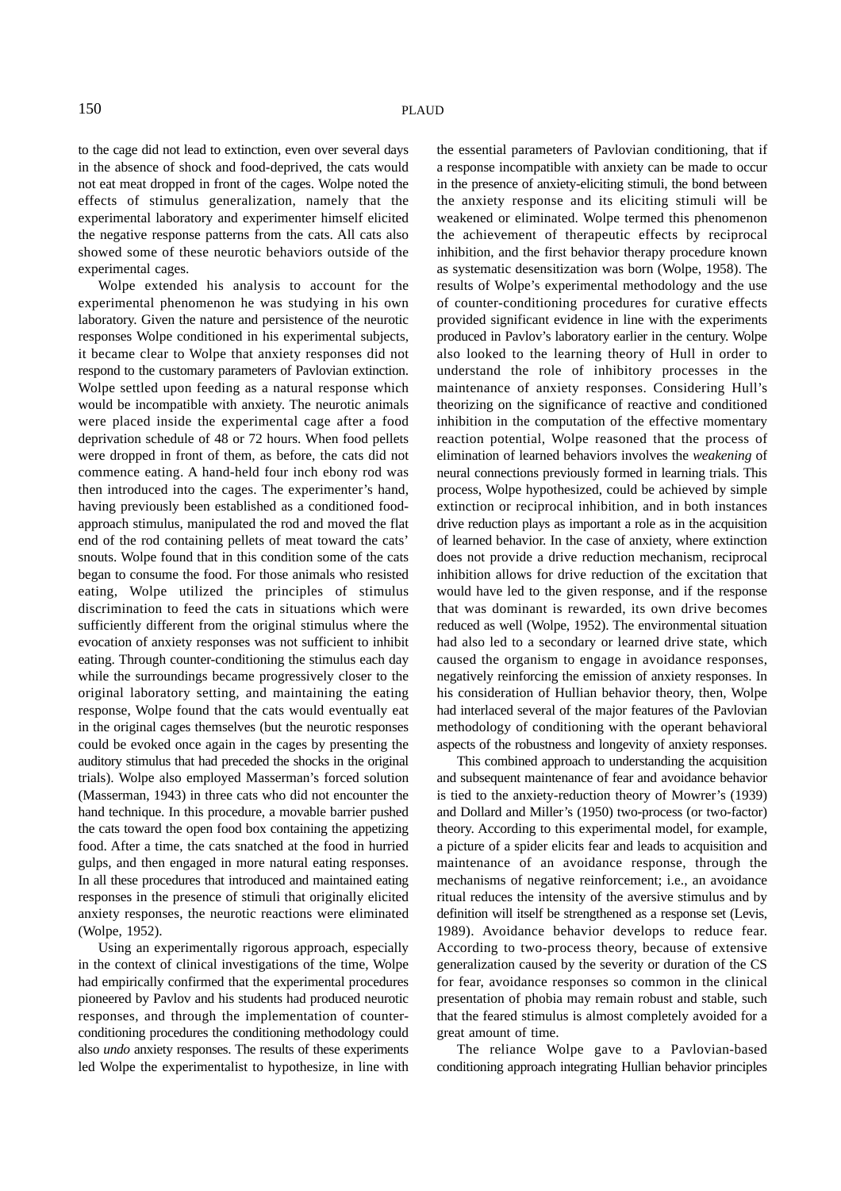to the cage did not lead to extinction, even over several days in the absence of shock and food-deprived, the cats would not eat meat dropped in front of the cages. Wolpe noted the effects of stimulus generalization, namely that the experimental laboratory and experimenter himself elicited the negative response patterns from the cats. All cats also showed some of these neurotic behaviors outside of the experimental cages.

Wolpe extended his analysis to account for the experimental phenomenon he was studying in his own laboratory. Given the nature and persistence of the neurotic responses Wolpe conditioned in his experimental subjects, it became clear to Wolpe that anxiety responses did not respond to the customary parameters of Pavlovian extinction. Wolpe settled upon feeding as a natural response which would be incompatible with anxiety. The neurotic animals were placed inside the experimental cage after a food deprivation schedule of 48 or 72 hours. When food pellets were dropped in front of them, as before, the cats did not commence eating. A hand-held four inch ebony rod was then introduced into the cages. The experimenter's hand, having previously been established as a conditioned foodapproach stimulus, manipulated the rod and moved the flat end of the rod containing pellets of meat toward the cats' snouts. Wolpe found that in this condition some of the cats began to consume the food. For those animals who resisted eating, Wolpe utilized the principles of stimulus discrimination to feed the cats in situations which were sufficiently different from the original stimulus where the evocation of anxiety responses was not sufficient to inhibit eating. Through counter-conditioning the stimulus each day while the surroundings became progressively closer to the original laboratory setting, and maintaining the eating response, Wolpe found that the cats would eventually eat in the original cages themselves (but the neurotic responses could be evoked once again in the cages by presenting the auditory stimulus that had preceded the shocks in the original trials). Wolpe also employed Masserman's forced solution (Masserman, 1943) in three cats who did not encounter the hand technique. In this procedure, a movable barrier pushed the cats toward the open food box containing the appetizing food. After a time, the cats snatched at the food in hurried gulps, and then engaged in more natural eating responses. In all these procedures that introduced and maintained eating responses in the presence of stimuli that originally elicited anxiety responses, the neurotic reactions were eliminated (Wolpe, 1952).

Using an experimentally rigorous approach, especially in the context of clinical investigations of the time, Wolpe had empirically confirmed that the experimental procedures pioneered by Pavlov and his students had produced neurotic responses, and through the implementation of counterconditioning procedures the conditioning methodology could also *undo* anxiety responses. The results of these experiments led Wolpe the experimentalist to hypothesize, in line with

the essential parameters of Pavlovian conditioning, that if a response incompatible with anxiety can be made to occur in the presence of anxiety-eliciting stimuli, the bond between the anxiety response and its eliciting stimuli will be weakened or eliminated. Wolpe termed this phenomenon the achievement of therapeutic effects by reciprocal inhibition, and the first behavior therapy procedure known as systematic desensitization was born (Wolpe, 1958). The results of Wolpe's experimental methodology and the use of counter-conditioning procedures for curative effects provided significant evidence in line with the experiments produced in Pavlov's laboratory earlier in the century. Wolpe also looked to the learning theory of Hull in order to understand the role of inhibitory processes in the maintenance of anxiety responses. Considering Hull's theorizing on the significance of reactive and conditioned inhibition in the computation of the effective momentary reaction potential, Wolpe reasoned that the process of elimination of learned behaviors involves the *weakening* of neural connections previously formed in learning trials. This process, Wolpe hypothesized, could be achieved by simple extinction or reciprocal inhibition, and in both instances drive reduction plays as important a role as in the acquisition of learned behavior. In the case of anxiety, where extinction does not provide a drive reduction mechanism, reciprocal inhibition allows for drive reduction of the excitation that would have led to the given response, and if the response that was dominant is rewarded, its own drive becomes reduced as well (Wolpe, 1952). The environmental situation had also led to a secondary or learned drive state, which caused the organism to engage in avoidance responses, negatively reinforcing the emission of anxiety responses. In his consideration of Hullian behavior theory, then, Wolpe had interlaced several of the major features of the Pavlovian methodology of conditioning with the operant behavioral aspects of the robustness and longevity of anxiety responses.

This combined approach to understanding the acquisition and subsequent maintenance of fear and avoidance behavior is tied to the anxiety-reduction theory of Mowrer's (1939) and Dollard and Miller's (1950) two-process (or two-factor) theory. According to this experimental model, for example, a picture of a spider elicits fear and leads to acquisition and maintenance of an avoidance response, through the mechanisms of negative reinforcement; i.e., an avoidance ritual reduces the intensity of the aversive stimulus and by definition will itself be strengthened as a response set (Levis, 1989). Avoidance behavior develops to reduce fear. According to two-process theory, because of extensive generalization caused by the severity or duration of the CS for fear, avoidance responses so common in the clinical presentation of phobia may remain robust and stable, such that the feared stimulus is almost completely avoided for a great amount of time.

The reliance Wolpe gave to a Pavlovian-based conditioning approach integrating Hullian behavior principles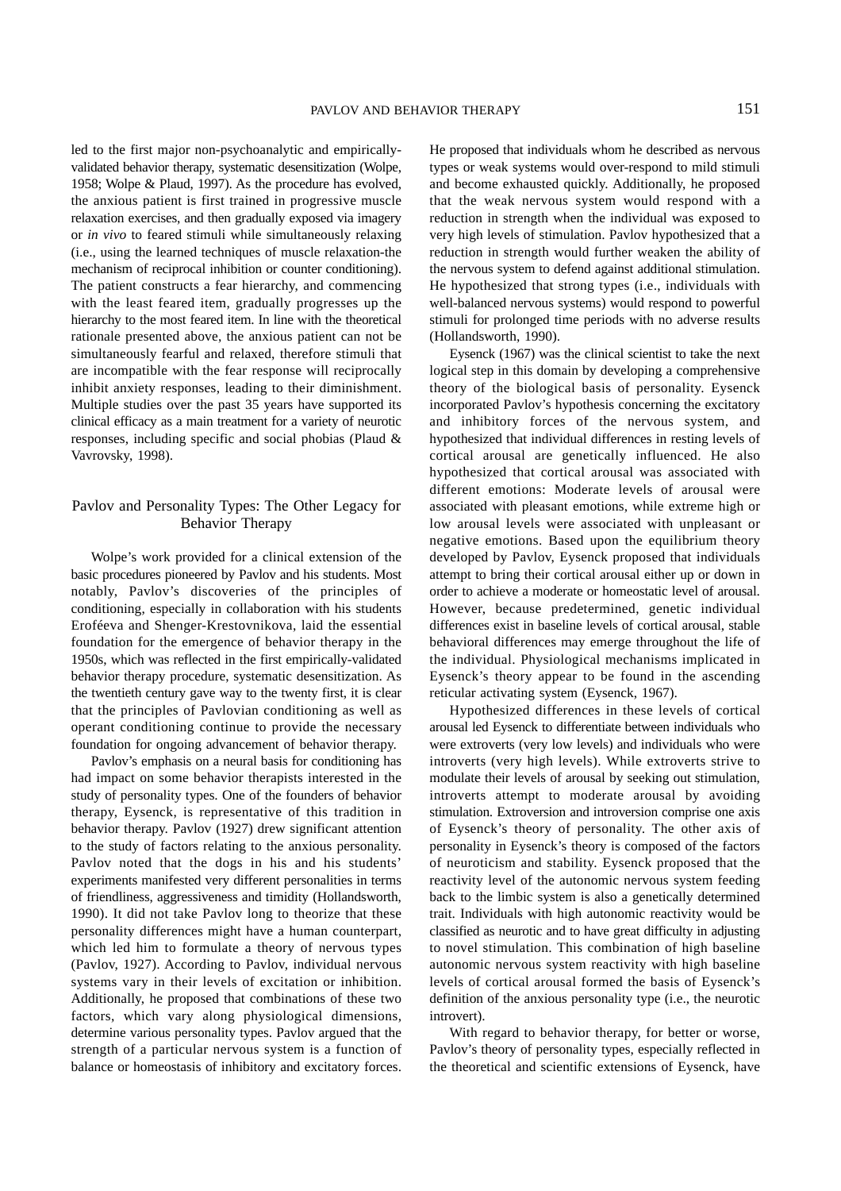led to the first major non-psychoanalytic and empiricallyvalidated behavior therapy, systematic desensitization (Wolpe, 1958; Wolpe & Plaud, 1997). As the procedure has evolved, the anxious patient is first trained in progressive muscle relaxation exercises, and then gradually exposed via imagery or *in vivo* to feared stimuli while simultaneously relaxing (i.e., using the learned techniques of muscle relaxation-the mechanism of reciprocal inhibition or counter conditioning). The patient constructs a fear hierarchy, and commencing with the least feared item, gradually progresses up the hierarchy to the most feared item. In line with the theoretical rationale presented above, the anxious patient can not be simultaneously fearful and relaxed, therefore stimuli that are incompatible with the fear response will reciprocally inhibit anxiety responses, leading to their diminishment. Multiple studies over the past 35 years have supported its clinical efficacy as a main treatment for a variety of neurotic responses, including specific and social phobias (Plaud & Vavrovsky, 1998).

# Pavlov and Personality Types: The Other Legacy for Behavior Therapy

Wolpe's work provided for a clinical extension of the basic procedures pioneered by Pavlov and his students. Most notably, Pavlov's discoveries of the principles of conditioning, especially in collaboration with his students Eroféeva and Shenger-Krestovnikova, laid the essential foundation for the emergence of behavior therapy in the 1950s, which was reflected in the first empirically-validated behavior therapy procedure, systematic desensitization. As the twentieth century gave way to the twenty first, it is clear that the principles of Pavlovian conditioning as well as operant conditioning continue to provide the necessary foundation for ongoing advancement of behavior therapy.

Pavlov's emphasis on a neural basis for conditioning has had impact on some behavior therapists interested in the study of personality types. One of the founders of behavior therapy, Eysenck, is representative of this tradition in behavior therapy. Pavlov (1927) drew significant attention to the study of factors relating to the anxious personality. Pavlov noted that the dogs in his and his students' experiments manifested very different personalities in terms of friendliness, aggressiveness and timidity (Hollandsworth, 1990). It did not take Pavlov long to theorize that these personality differences might have a human counterpart, which led him to formulate a theory of nervous types (Pavlov, 1927). According to Pavlov, individual nervous systems vary in their levels of excitation or inhibition. Additionally, he proposed that combinations of these two factors, which vary along physiological dimensions, determine various personality types. Pavlov argued that the strength of a particular nervous system is a function of balance or homeostasis of inhibitory and excitatory forces.

He proposed that individuals whom he described as nervous types or weak systems would over-respond to mild stimuli and become exhausted quickly. Additionally, he proposed that the weak nervous system would respond with a reduction in strength when the individual was exposed to very high levels of stimulation. Pavlov hypothesized that a reduction in strength would further weaken the ability of the nervous system to defend against additional stimulation. He hypothesized that strong types (i.e., individuals with well-balanced nervous systems) would respond to powerful stimuli for prolonged time periods with no adverse results (Hollandsworth, 1990).

Eysenck (1967) was the clinical scientist to take the next logical step in this domain by developing a comprehensive theory of the biological basis of personality. Eysenck incorporated Pavlov's hypothesis concerning the excitatory and inhibitory forces of the nervous system, and hypothesized that individual differences in resting levels of cortical arousal are genetically influenced. He also hypothesized that cortical arousal was associated with different emotions: Moderate levels of arousal were associated with pleasant emotions, while extreme high or low arousal levels were associated with unpleasant or negative emotions. Based upon the equilibrium theory developed by Pavlov, Eysenck proposed that individuals attempt to bring their cortical arousal either up or down in order to achieve a moderate or homeostatic level of arousal. However, because predetermined, genetic individual differences exist in baseline levels of cortical arousal, stable behavioral differences may emerge throughout the life of the individual. Physiological mechanisms implicated in Eysenck's theory appear to be found in the ascending reticular activating system (Eysenck, 1967).

Hypothesized differences in these levels of cortical arousal led Eysenck to differentiate between individuals who were extroverts (very low levels) and individuals who were introverts (very high levels). While extroverts strive to modulate their levels of arousal by seeking out stimulation, introverts attempt to moderate arousal by avoiding stimulation. Extroversion and introversion comprise one axis of Eysenck's theory of personality. The other axis of personality in Eysenck's theory is composed of the factors of neuroticism and stability. Eysenck proposed that the reactivity level of the autonomic nervous system feeding back to the limbic system is also a genetically determined trait. Individuals with high autonomic reactivity would be classified as neurotic and to have great difficulty in adjusting to novel stimulation. This combination of high baseline autonomic nervous system reactivity with high baseline levels of cortical arousal formed the basis of Eysenck's definition of the anxious personality type (i.e., the neurotic introvert).

With regard to behavior therapy, for better or worse, Pavlov's theory of personality types, especially reflected in the theoretical and scientific extensions of Eysenck, have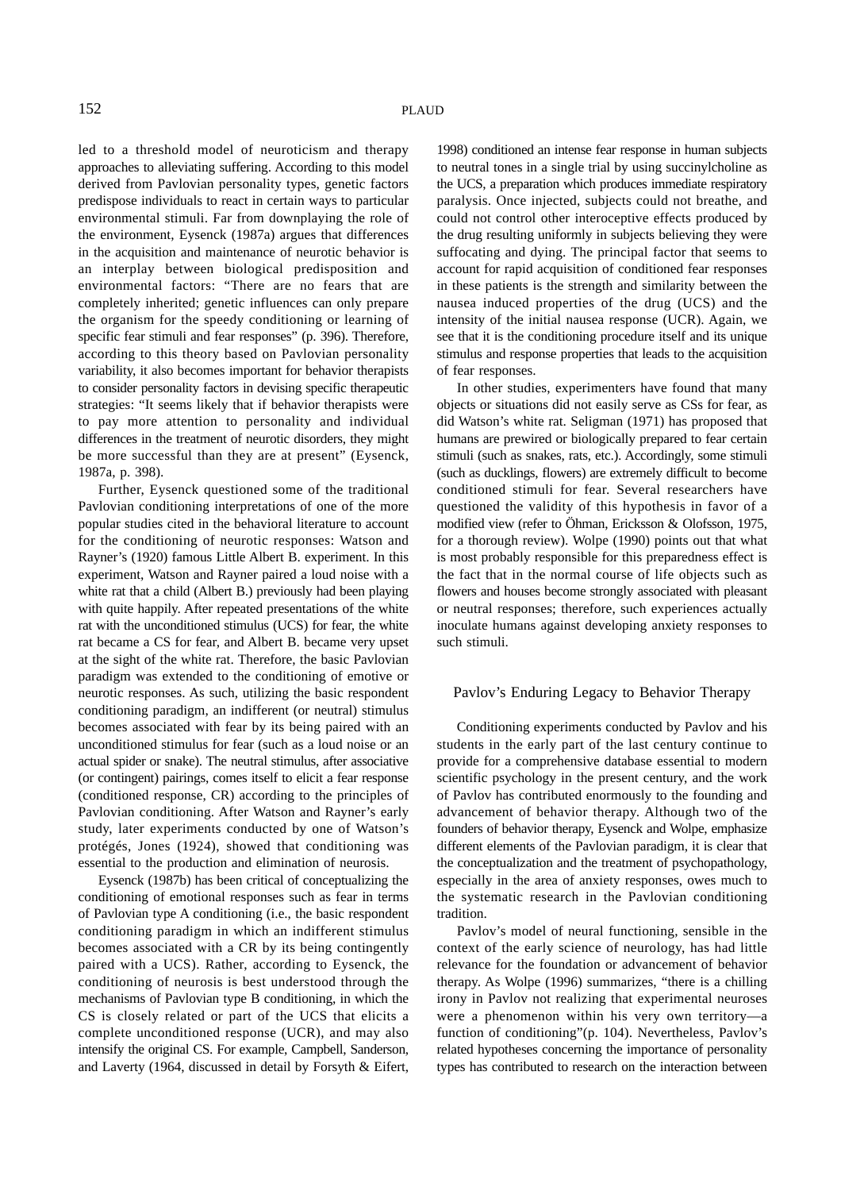led to a threshold model of neuroticism and therapy approaches to alleviating suffering. According to this model derived from Pavlovian personality types, genetic factors predispose individuals to react in certain ways to particular environmental stimuli. Far from downplaying the role of the environment, Eysenck (1987a) argues that differences in the acquisition and maintenance of neurotic behavior is an interplay between biological predisposition and environmental factors: "There are no fears that are completely inherited; genetic influences can only prepare the organism for the speedy conditioning or learning of specific fear stimuli and fear responses" (p. 396). Therefore, according to this theory based on Pavlovian personality variability, it also becomes important for behavior therapists to consider personality factors in devising specific therapeutic strategies: "It seems likely that if behavior therapists were to pay more attention to personality and individual differences in the treatment of neurotic disorders, they might be more successful than they are at present" (Eysenck, 1987a, p. 398).

Further, Eysenck questioned some of the traditional Pavlovian conditioning interpretations of one of the more popular studies cited in the behavioral literature to account for the conditioning of neurotic responses: Watson and Rayner's (1920) famous Little Albert B. experiment. In this experiment, Watson and Rayner paired a loud noise with a white rat that a child (Albert B.) previously had been playing with quite happily. After repeated presentations of the white rat with the unconditioned stimulus (UCS) for fear, the white rat became a CS for fear, and Albert B. became very upset at the sight of the white rat. Therefore, the basic Pavlovian paradigm was extended to the conditioning of emotive or neurotic responses. As such, utilizing the basic respondent conditioning paradigm, an indifferent (or neutral) stimulus becomes associated with fear by its being paired with an unconditioned stimulus for fear (such as a loud noise or an actual spider or snake). The neutral stimulus, after associative (or contingent) pairings, comes itself to elicit a fear response (conditioned response, CR) according to the principles of Pavlovian conditioning. After Watson and Rayner's early study, later experiments conducted by one of Watson's protégés, Jones (1924), showed that conditioning was essential to the production and elimination of neurosis.

Eysenck (1987b) has been critical of conceptualizing the conditioning of emotional responses such as fear in terms of Pavlovian type A conditioning (i.e., the basic respondent conditioning paradigm in which an indifferent stimulus becomes associated with a CR by its being contingently paired with a UCS). Rather, according to Eysenck, the conditioning of neurosis is best understood through the mechanisms of Pavlovian type B conditioning, in which the CS is closely related or part of the UCS that elicits a complete unconditioned response (UCR), and may also intensify the original CS. For example, Campbell, Sanderson, and Laverty (1964, discussed in detail by Forsyth & Eifert,

1998) conditioned an intense fear response in human subjects to neutral tones in a single trial by using succinylcholine as the UCS, a preparation which produces immediate respiratory paralysis. Once injected, subjects could not breathe, and could not control other interoceptive effects produced by the drug resulting uniformly in subjects believing they were suffocating and dying. The principal factor that seems to account for rapid acquisition of conditioned fear responses in these patients is the strength and similarity between the nausea induced properties of the drug (UCS) and the intensity of the initial nausea response (UCR). Again, we see that it is the conditioning procedure itself and its unique stimulus and response properties that leads to the acquisition of fear responses.

In other studies, experimenters have found that many objects or situations did not easily serve as CSs for fear, as did Watson's white rat. Seligman (1971) has proposed that humans are prewired or biologically prepared to fear certain stimuli (such as snakes, rats, etc.). Accordingly, some stimuli (such as ducklings, flowers) are extremely difficult to become conditioned stimuli for fear. Several researchers have questioned the validity of this hypothesis in favor of a modified view (refer to Öhman, Ericksson & Olofsson, 1975, for a thorough review). Wolpe (1990) points out that what is most probably responsible for this preparedness effect is the fact that in the normal course of life objects such as flowers and houses become strongly associated with pleasant or neutral responses; therefore, such experiences actually inoculate humans against developing anxiety responses to such stimuli.

### Pavlov's Enduring Legacy to Behavior Therapy

Conditioning experiments conducted by Pavlov and his students in the early part of the last century continue to provide for a comprehensive database essential to modern scientific psychology in the present century, and the work of Pavlov has contributed enormously to the founding and advancement of behavior therapy. Although two of the founders of behavior therapy, Eysenck and Wolpe, emphasize different elements of the Pavlovian paradigm, it is clear that the conceptualization and the treatment of psychopathology, especially in the area of anxiety responses, owes much to the systematic research in the Pavlovian conditioning tradition.

Pavlov's model of neural functioning, sensible in the context of the early science of neurology, has had little relevance for the foundation or advancement of behavior therapy. As Wolpe (1996) summarizes, "there is a chilling irony in Pavlov not realizing that experimental neuroses were a phenomenon within his very own territory—a function of conditioning"(p. 104). Nevertheless, Pavlov's related hypotheses concerning the importance of personality types has contributed to research on the interaction between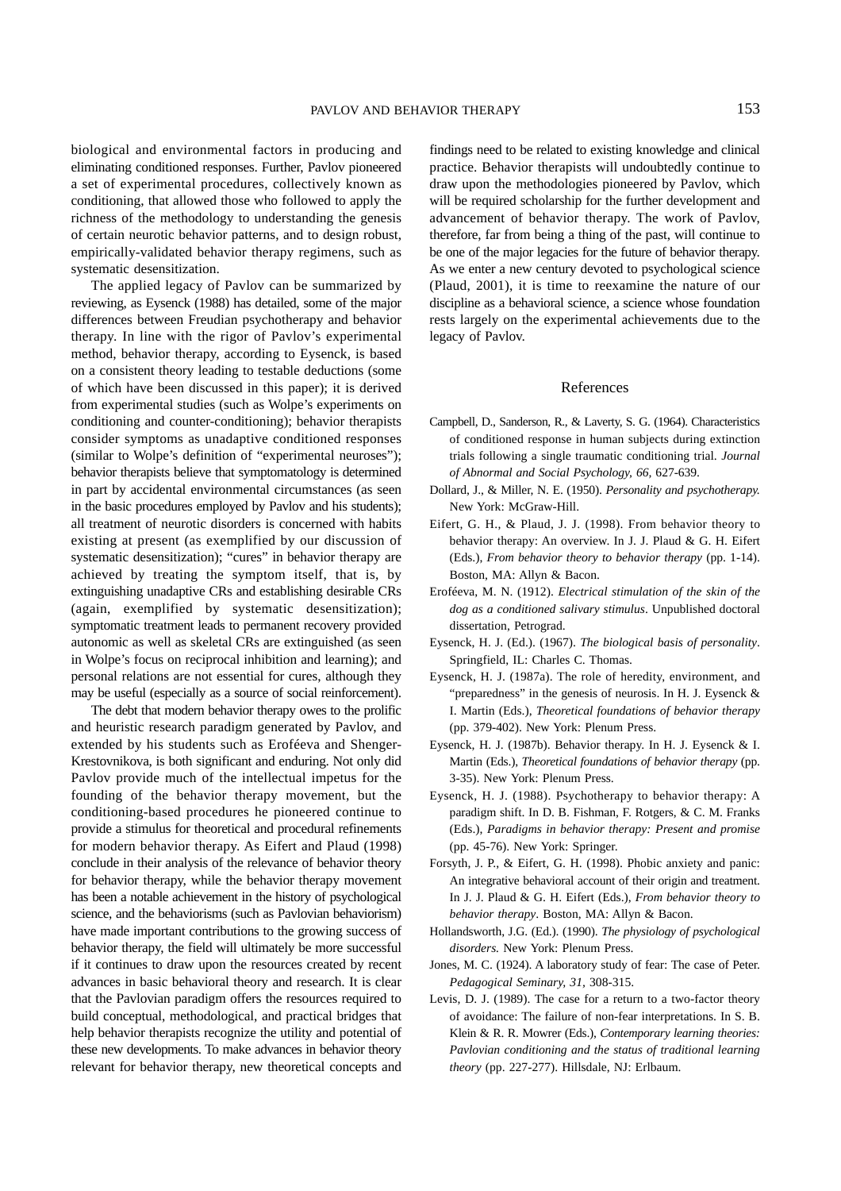biological and environmental factors in producing and eliminating conditioned responses. Further, Pavlov pioneered a set of experimental procedures, collectively known as conditioning, that allowed those who followed to apply the richness of the methodology to understanding the genesis of certain neurotic behavior patterns, and to design robust, empirically-validated behavior therapy regimens, such as systematic desensitization.

The applied legacy of Pavlov can be summarized by reviewing, as Eysenck (1988) has detailed, some of the major differences between Freudian psychotherapy and behavior therapy. In line with the rigor of Pavlov's experimental method, behavior therapy, according to Eysenck, is based on a consistent theory leading to testable deductions (some of which have been discussed in this paper); it is derived from experimental studies (such as Wolpe's experiments on conditioning and counter-conditioning); behavior therapists consider symptoms as unadaptive conditioned responses (similar to Wolpe's definition of "experimental neuroses"); behavior therapists believe that symptomatology is determined in part by accidental environmental circumstances (as seen in the basic procedures employed by Pavlov and his students); all treatment of neurotic disorders is concerned with habits existing at present (as exemplified by our discussion of systematic desensitization); "cures" in behavior therapy are achieved by treating the symptom itself, that is, by extinguishing unadaptive CRs and establishing desirable CRs (again, exemplified by systematic desensitization); symptomatic treatment leads to permanent recovery provided autonomic as well as skeletal CRs are extinguished (as seen in Wolpe's focus on reciprocal inhibition and learning); and personal relations are not essential for cures, although they may be useful (especially as a source of social reinforcement).

The debt that modern behavior therapy owes to the prolific and heuristic research paradigm generated by Pavlov, and extended by his students such as Eroféeva and Shenger-Krestovnikova, is both significant and enduring. Not only did Pavlov provide much of the intellectual impetus for the founding of the behavior therapy movement, but the conditioning-based procedures he pioneered continue to provide a stimulus for theoretical and procedural refinements for modern behavior therapy. As Eifert and Plaud (1998) conclude in their analysis of the relevance of behavior theory for behavior therapy, while the behavior therapy movement has been a notable achievement in the history of psychological science, and the behaviorisms (such as Pavlovian behaviorism) have made important contributions to the growing success of behavior therapy, the field will ultimately be more successful if it continues to draw upon the resources created by recent advances in basic behavioral theory and research. It is clear that the Pavlovian paradigm offers the resources required to build conceptual, methodological, and practical bridges that help behavior therapists recognize the utility and potential of these new developments. To make advances in behavior theory relevant for behavior therapy, new theoretical concepts and

findings need to be related to existing knowledge and clinical practice. Behavior therapists will undoubtedly continue to draw upon the methodologies pioneered by Pavlov, which will be required scholarship for the further development and advancement of behavior therapy. The work of Pavlov, therefore, far from being a thing of the past, will continue to be one of the major legacies for the future of behavior therapy. As we enter a new century devoted to psychological science (Plaud, 2001), it is time to reexamine the nature of our discipline as a behavioral science, a science whose foundation rests largely on the experimental achievements due to the legacy of Pavlov.

#### References

- Campbell, D., Sanderson, R., & Laverty, S. G. (1964). Characteristics of conditioned response in human subjects during extinction trials following a single traumatic conditioning trial. *Journal of Abnormal and Social Psychology, 66,* 627-639.
- Dollard, J., & Miller, N. E. (1950). *Personality and psychotherapy.* New York: McGraw-Hill.
- Eifert, G. H., & Plaud, J. J. (1998). From behavior theory to behavior therapy: An overview. In J. J. Plaud & G. H. Eifert (Eds.), *From behavior theory to behavior therapy* (pp. 1-14). Boston, MA: Allyn & Bacon.
- Eroféeva, M. N. (1912). *Electrical stimulation of the skin of the dog as a conditioned salivary stimulus*. Unpublished doctoral dissertation, Petrograd.
- Eysenck, H. J. (Ed.). (1967). *The biological basis of personality*. Springfield, IL: Charles C. Thomas.
- Eysenck, H. J. (1987a). The role of heredity, environment, and "preparedness" in the genesis of neurosis. In H. J. Eysenck & I. Martin (Eds.), *Theoretical foundations of behavior therapy* (pp. 379-402). New York: Plenum Press.
- Eysenck, H. J. (1987b). Behavior therapy. In H. J. Eysenck & I. Martin (Eds.), *Theoretical foundations of behavior therapy* (pp. 3-35). New York: Plenum Press.
- Eysenck, H. J. (1988). Psychotherapy to behavior therapy: A paradigm shift. In D. B. Fishman, F. Rotgers, & C. M. Franks (Eds.), *Paradigms in behavior therapy: Present and promise* (pp. 45-76). New York: Springer.
- Forsyth, J. P., & Eifert, G. H. (1998). Phobic anxiety and panic: An integrative behavioral account of their origin and treatment. In J. J. Plaud & G. H. Eifert (Eds.), *From behavior theory to behavior therapy*. Boston, MA: Allyn & Bacon.
- Hollandsworth, J.G. (Ed.). (1990). *The physiology of psychological disorders.* New York: Plenum Press.
- Jones, M. C. (1924). A laboratory study of fear: The case of Peter. *Pedagogical Seminary, 31,* 308-315.
- Levis, D. J. (1989). The case for a return to a two-factor theory of avoidance: The failure of non-fear interpretations. In S. B. Klein & R. R. Mowrer (Eds.), *Contemporary learning theories: Pavlovian conditioning and the status of traditional learning theory* (pp. 227-277). Hillsdale, NJ: Erlbaum.